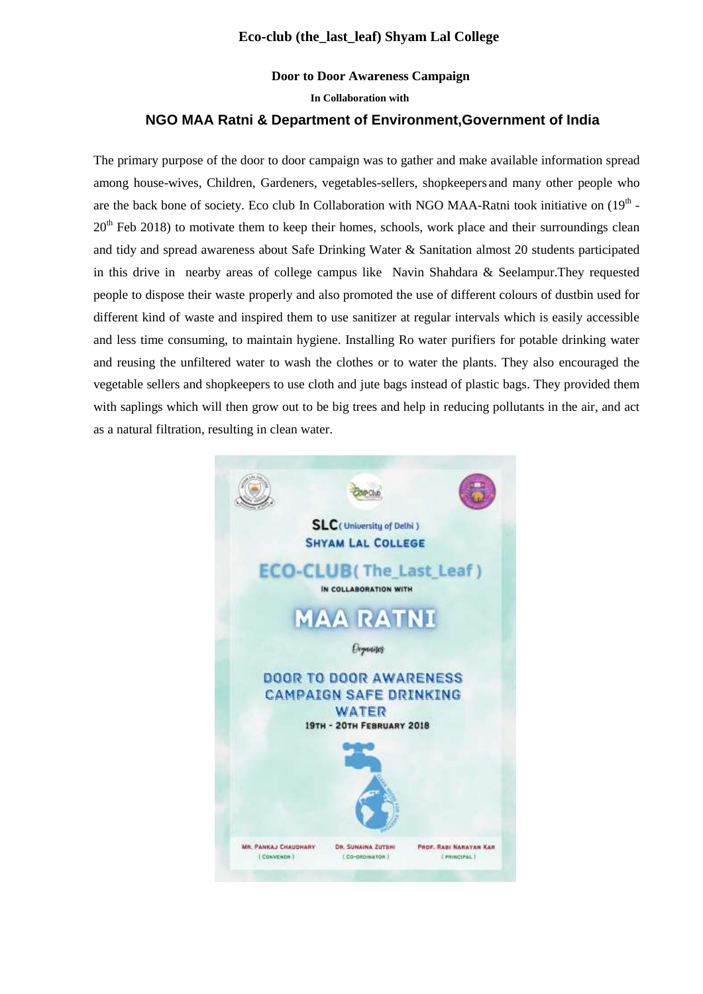## **Eco-club (the\_last\_leaf) Shyam Lal College**

## **Door to Door Awareness Campaign**

**In Collaboration with**

## **NGO MAA Ratni & Department of Environment,Government of India**

The primary purpose of the door to door campaign was to gather and make available information spread among house-wives, Children, Gardeners, vegetables-sellers, shopkeepers and many other people who are the back bone of society. Eco club In Collaboration with NGO MAA-Ratni took initiative on  $(19<sup>th</sup> 20<sup>th</sup>$  Feb 2018) to motivate them to keep their homes, schools, work place and their surroundings clean and tidy and spread awareness about Safe Drinking Water & Sanitation almost 20 students participated in this drive in nearby areas of college campus like Navin Shahdara & Seelampur.They requested people to dispose their waste properly and also promoted the use of different colours of dustbin used for different kind of waste and inspired them to use sanitizer at regular intervals which is easily accessible and less time consuming, to maintain hygiene. Installing Ro water purifiers for potable drinking water and reusing the unfiltered water to wash the clothes or to water the plants. They also encouraged the vegetable sellers and shopkeepers to use cloth and jute bags instead of plastic bags. They provided them with saplings which will then grow out to be big trees and help in reducing pollutants in the air, and act as a natural filtration, resulting in clean water.

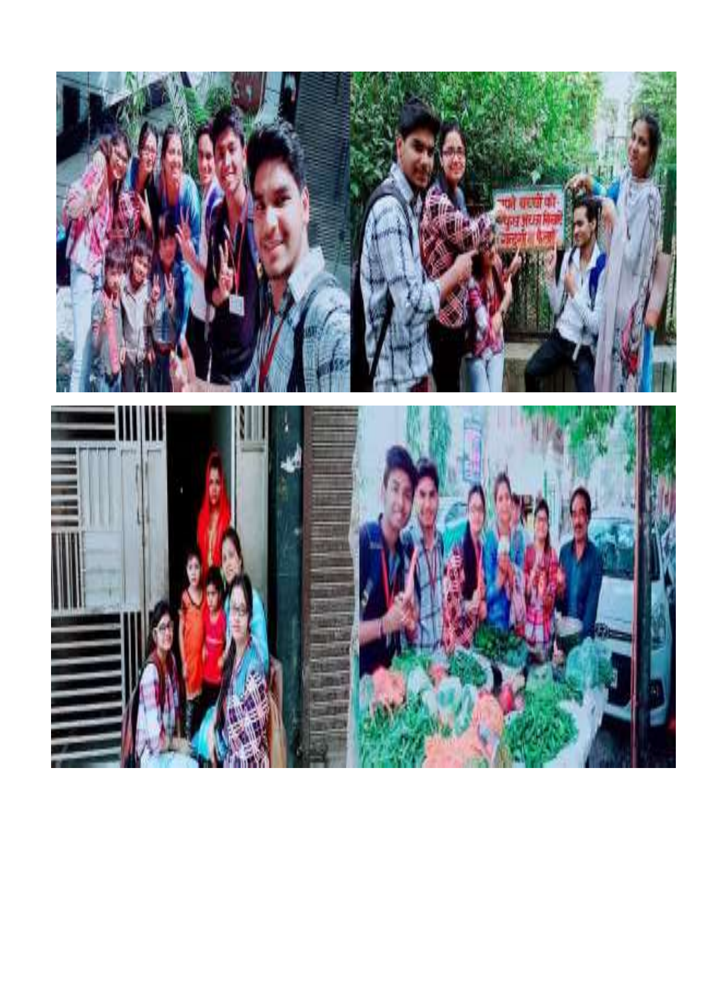